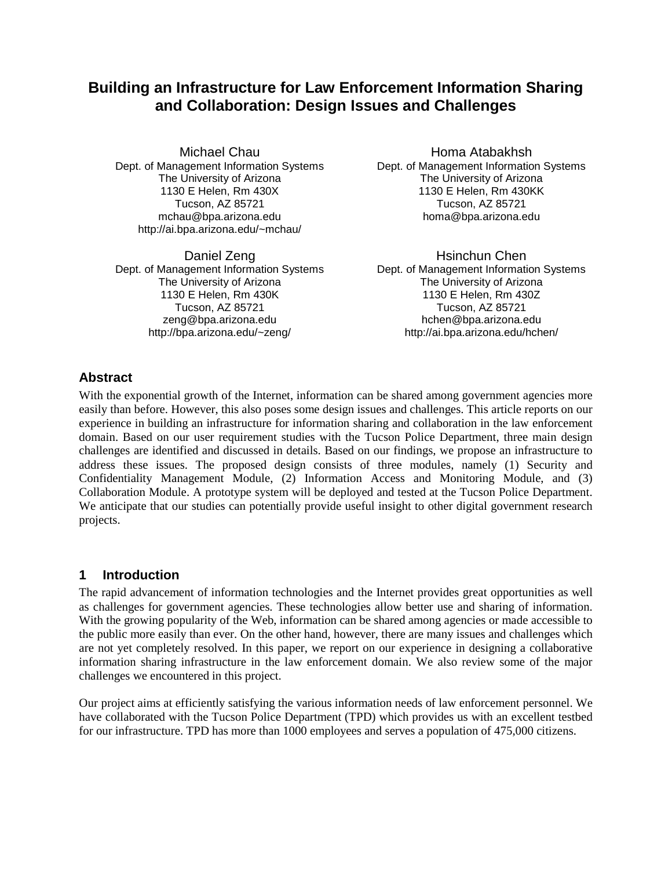# **Building an Infrastructure for Law Enforcement Information Sharing and Collaboration: Design Issues and Challenges**

Michael Chau Dept. of Management Information Systems The University of Arizona 1130 E Helen, Rm 430X Tucson, AZ 85721 mchau@bpa.arizona.edu http://ai.bpa.arizona.edu/~mchau/

Daniel Zeng Dept. of Management Information Systems The University of Arizona 1130 E Helen, Rm 430K Tucson, AZ 85721 zeng@bpa.arizona.edu http://bpa.arizona.edu/~zeng/

Homa Atabakhsh Dept. of Management Information Systems The University of Arizona 1130 E Helen, Rm 430KK Tucson, AZ 85721 homa@bpa.arizona.edu

Hsinchun Chen Dept. of Management Information Systems The University of Arizona 1130 E Helen, Rm 430Z Tucson, AZ 85721 hchen@bpa.arizona.edu http://ai.bpa.arizona.edu/hchen/

### **Abstract**

With the exponential growth of the Internet, information can be shared among government agencies more easily than before. However, this also poses some design issues and challenges. This article reports on our experience in building an infrastructure for information sharing and collaboration in the law enforcement domain. Based on our user requirement studies with the Tucson Police Department, three main design challenges are identified and discussed in details. Based on our findings, we propose an infrastructure to address these issues. The proposed design consists of three modules, namely (1) Security and Confidentiality Management Module, (2) Information Access and Monitoring Module, and (3) Collaboration Module. A prototype system will be deployed and tested at the Tucson Police Department. We anticipate that our studies can potentially provide useful insight to other digital government research projects.

### **1 Introduction**

The rapid advancement of information technologies and the Internet provides great opportunities as well as challenges for government agencies. These technologies allow better use and sharing of information. With the growing popularity of the Web, information can be shared among agencies or made accessible to the public more easily than ever. On the other hand, however, there are many issues and challenges which are not yet completely resolved. In this paper, we report on our experience in designing a collaborative information sharing infrastructure in the law enforcement domain. We also review some of the major challenges we encountered in this project.

Our project aims at efficiently satisfying the various information needs of law enforcement personnel. We have collaborated with the Tucson Police Department (TPD) which provides us with an excellent testbed for our infrastructure. TPD has more than 1000 employees and serves a population of 475,000 citizens.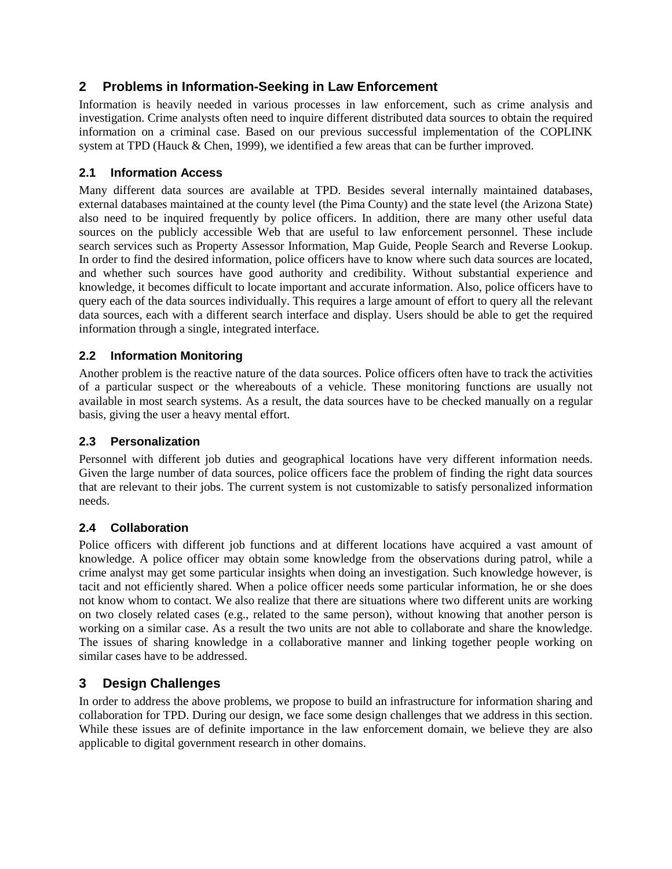### **2 Problems in Information-Seeking in Law Enforcement**

Information is heavily needed in various processes in law enforcement, such as crime analysis and investigation. Crime analysts often need to inquire different distributed data sources to obtain the required information on a criminal case. Based on our previous successful implementation of the COPLINK system at TPD (Hauck & Chen, 1999), we identified a few areas that can be further improved.

### **2.1 Information Access**

Many different data sources are available at TPD. Besides several internally maintained databases, external databases maintained at the county level (the Pima County) and the state level (the Arizona State) also need to be inquired frequently by police officers. In addition, there are many other useful data sources on the publicly accessible Web that are useful to law enforcement personnel. These include search services such as Property Assessor Information, Map Guide, People Search and Reverse Lookup. In order to find the desired information, police officers have to know where such data sources are located, and whether such sources have good authority and credibility. Without substantial experience and knowledge, it becomes difficult to locate important and accurate information. Also, police officers have to query each of the data sources individually. This requires a large amount of effort to query all the relevant data sources, each with a different search interface and display. Users should be able to get the required information through a single, integrated interface.

#### **2.2 Information Monitoring**

Another problem is the reactive nature of the data sources. Police officers often have to track the activities of a particular suspect or the whereabouts of a vehicle. These monitoring functions are usually not available in most search systems. As a result, the data sources have to be checked manually on a regular basis, giving the user a heavy mental effort.

#### **2.3 Personalization**

Personnel with different job duties and geographical locations have very different information needs. Given the large number of data sources, police officers face the problem of finding the right data sources that are relevant to their jobs. The current system is not customizable to satisfy personalized information needs.

#### **2.4 Collaboration**

Police officers with different job functions and at different locations have acquired a vast amount of knowledge. A police officer may obtain some knowledge from the observations during patrol, while a crime analyst may get some particular insights when doing an investigation. Such knowledge however, is tacit and not efficiently shared. When a police officer needs some particular information, he or she does not know whom to contact. We also realize that there are situations where two different units are working on two closely related cases (e.g., related to the same person), without knowing that another person is working on a similar case. As a result the two units are not able to collaborate and share the knowledge. The issues of sharing knowledge in a collaborative manner and linking together people working on similar cases have to be addressed.

## **3 Design Challenges**

In order to address the above problems, we propose to build an infrastructure for information sharing and collaboration for TPD. During our design, we face some design challenges that we address in this section. While these issues are of definite importance in the law enforcement domain, we believe they are also applicable to digital government research in other domains.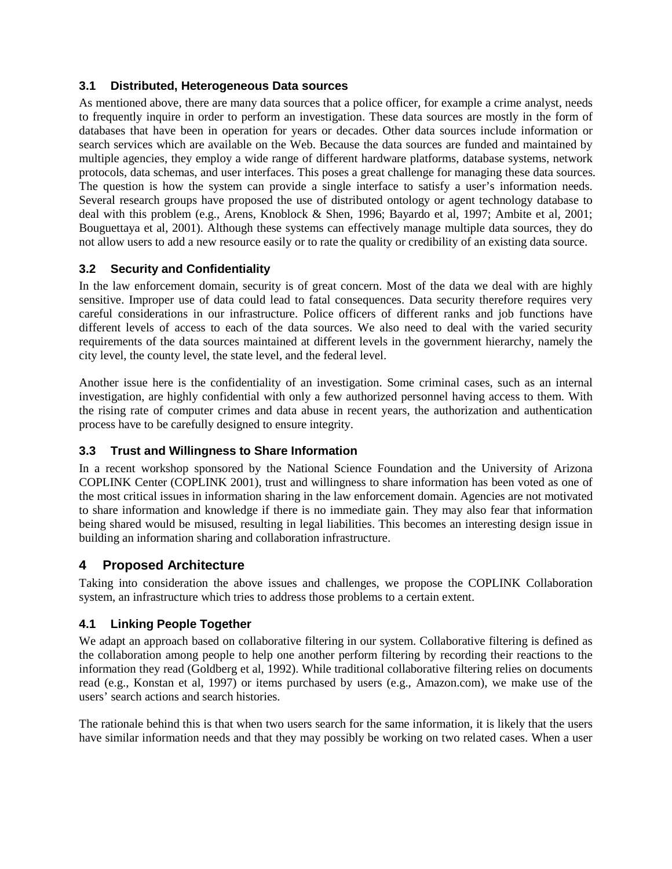#### **3.1 Distributed, Heterogeneous Data sources**

As mentioned above, there are many data sources that a police officer, for example a crime analyst, needs to frequently inquire in order to perform an investigation. These data sources are mostly in the form of databases that have been in operation for years or decades. Other data sources include information or search services which are available on the Web. Because the data sources are funded and maintained by multiple agencies, they employ a wide range of different hardware platforms, database systems, network protocols, data schemas, and user interfaces. This poses a great challenge for managing these data sources. The question is how the system can provide a single interface to satisfy a user's information needs. Several research groups have proposed the use of distributed ontology or agent technology database to deal with this problem (e.g., Arens, Knoblock & Shen, 1996; Bayardo et al, 1997; Ambite et al, 2001; Bouguettaya et al, 2001). Although these systems can effectively manage multiple data sources, they do not allow users to add a new resource easily or to rate the quality or credibility of an existing data source.

#### **3.2 Security and Confidentiality**

In the law enforcement domain, security is of great concern. Most of the data we deal with are highly sensitive. Improper use of data could lead to fatal consequences. Data security therefore requires very careful considerations in our infrastructure. Police officers of different ranks and job functions have different levels of access to each of the data sources. We also need to deal with the varied security requirements of the data sources maintained at different levels in the government hierarchy, namely the city level, the county level, the state level, and the federal level.

Another issue here is the confidentiality of an investigation. Some criminal cases, such as an internal investigation, are highly confidential with only a few authorized personnel having access to them. With the rising rate of computer crimes and data abuse in recent years, the authorization and authentication process have to be carefully designed to ensure integrity.

#### **3.3 Trust and Willingness to Share Information**

In a recent workshop sponsored by the National Science Foundation and the University of Arizona COPLINK Center (COPLINK 2001), trust and willingness to share information has been voted as one of the most critical issues in information sharing in the law enforcement domain. Agencies are not motivated to share information and knowledge if there is no immediate gain. They may also fear that information being shared would be misused, resulting in legal liabilities. This becomes an interesting design issue in building an information sharing and collaboration infrastructure.

#### **4 Proposed Architecture**

Taking into consideration the above issues and challenges, we propose the COPLINK Collaboration system, an infrastructure which tries to address those problems to a certain extent.

#### **4.1 Linking People Together**

We adapt an approach based on collaborative filtering in our system. Collaborative filtering is defined as the collaboration among people to help one another perform filtering by recording their reactions to the information they read (Goldberg et al, 1992). While traditional collaborative filtering relies on documents read (e.g., Konstan et al, 1997) or items purchased by users (e.g., Amazon.com), we make use of the users' search actions and search histories.

The rationale behind this is that when two users search for the same information, it is likely that the users have similar information needs and that they may possibly be working on two related cases. When a user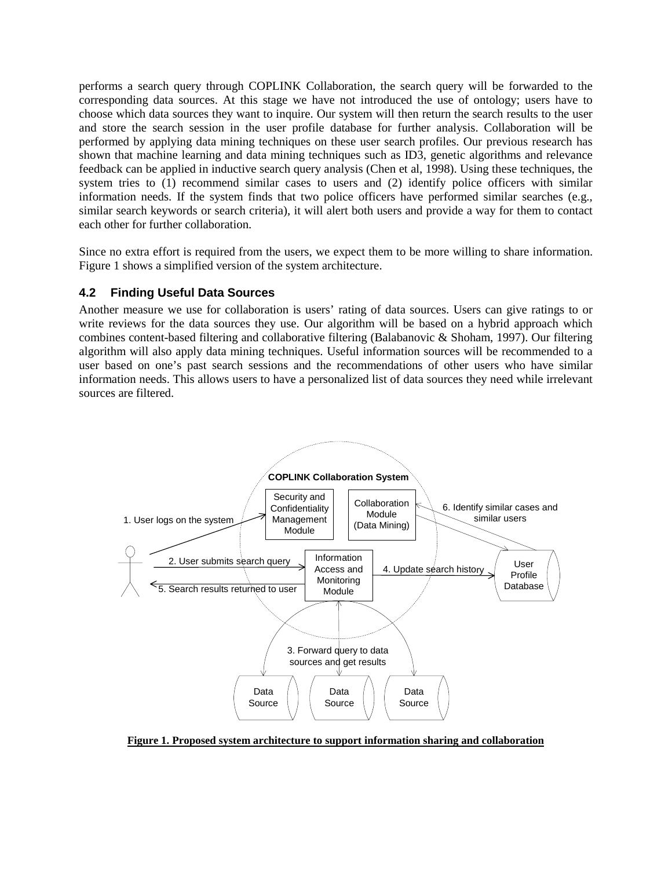performs a search query through COPLINK Collaboration, the search query will be forwarded to the corresponding data sources. At this stage we have not introduced the use of ontology; users have to choose which data sources they want to inquire. Our system will then return the search results to the user and store the search session in the user profile database for further analysis. Collaboration will be performed by applying data mining techniques on these user search profiles. Our previous research has shown that machine learning and data mining techniques such as ID3, genetic algorithms and relevance feedback can be applied in inductive search query analysis (Chen et al, 1998). Using these techniques, the system tries to (1) recommend similar cases to users and (2) identify police officers with similar information needs. If the system finds that two police officers have performed similar searches (e.g., similar search keywords or search criteria), it will alert both users and provide a way for them to contact each other for further collaboration.

Since no extra effort is required from the users, we expect them to be more willing to share information. Figure 1 shows a simplified version of the system architecture.

#### **4.2 Finding Useful Data Sources**

Another measure we use for collaboration is users' rating of data sources. Users can give ratings to or write reviews for the data sources they use. Our algorithm will be based on a hybrid approach which combines content-based filtering and collaborative filtering (Balabanovic & Shoham, 1997). Our filtering algorithm will also apply data mining techniques. Useful information sources will be recommended to a user based on one's past search sessions and the recommendations of other users who have similar information needs. This allows users to have a personalized list of data sources they need while irrelevant sources are filtered.



**Figure 1. Proposed system architecture to support information sharing and collaboration**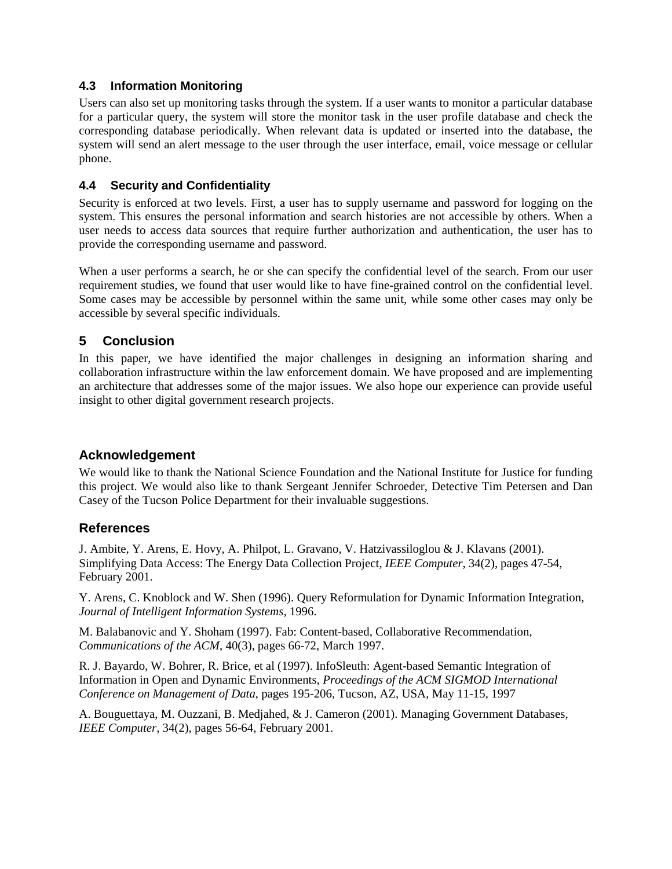#### **4.3 Information Monitoring**

Users can also set up monitoring tasks through the system. If a user wants to monitor a particular database for a particular query, the system will store the monitor task in the user profile database and check the corresponding database periodically. When relevant data is updated or inserted into the database, the system will send an alert message to the user through the user interface, email, voice message or cellular phone.

### **4.4 Security and Confidentiality**

Security is enforced at two levels. First, a user has to supply username and password for logging on the system. This ensures the personal information and search histories are not accessible by others. When a user needs to access data sources that require further authorization and authentication, the user has to provide the corresponding username and password.

When a user performs a search, he or she can specify the confidential level of the search. From our user requirement studies, we found that user would like to have fine-grained control on the confidential level. Some cases may be accessible by personnel within the same unit, while some other cases may only be accessible by several specific individuals.

### **5 Conclusion**

In this paper, we have identified the major challenges in designing an information sharing and collaboration infrastructure within the law enforcement domain. We have proposed and are implementing an architecture that addresses some of the major issues. We also hope our experience can provide useful insight to other digital government research projects.

### **Acknowledgement**

We would like to thank the National Science Foundation and the National Institute for Justice for funding this project. We would also like to thank Sergeant Jennifer Schroeder, Detective Tim Petersen and Dan Casey of the Tucson Police Department for their invaluable suggestions.

### **References**

J. Ambite, Y. Arens, E. Hovy, A. Philpot, L. Gravano, V. Hatzivassiloglou & J. Klavans (2001). Simplifying Data Access: The Energy Data Collection Project, *IEEE Computer*, 34(2), pages 47-54, February 2001.

Y. Arens, C. Knoblock and W. Shen (1996). Query Reformulation for Dynamic Information Integration, *Journal of Intelligent Information Systems*, 1996.

M. Balabanovic and Y. Shoham (1997). Fab: Content-based, Collaborative Recommendation, *Communications of the ACM*, 40(3), pages 66-72, March 1997.

R. J. Bayardo, W. Bohrer, R. Brice, et al (1997). InfoSleuth: Agent-based Semantic Integration of Information in Open and Dynamic Environments, *Proceedings of the ACM SIGMOD International Conference on Management of Data*, pages 195-206, Tucson, AZ, USA, May 11-15, 1997

A. Bouguettaya, M. Ouzzani, B. Medjahed, & J. Cameron (2001). Managing Government Databases, *IEEE Computer*, 34(2), pages 56-64, February 2001.